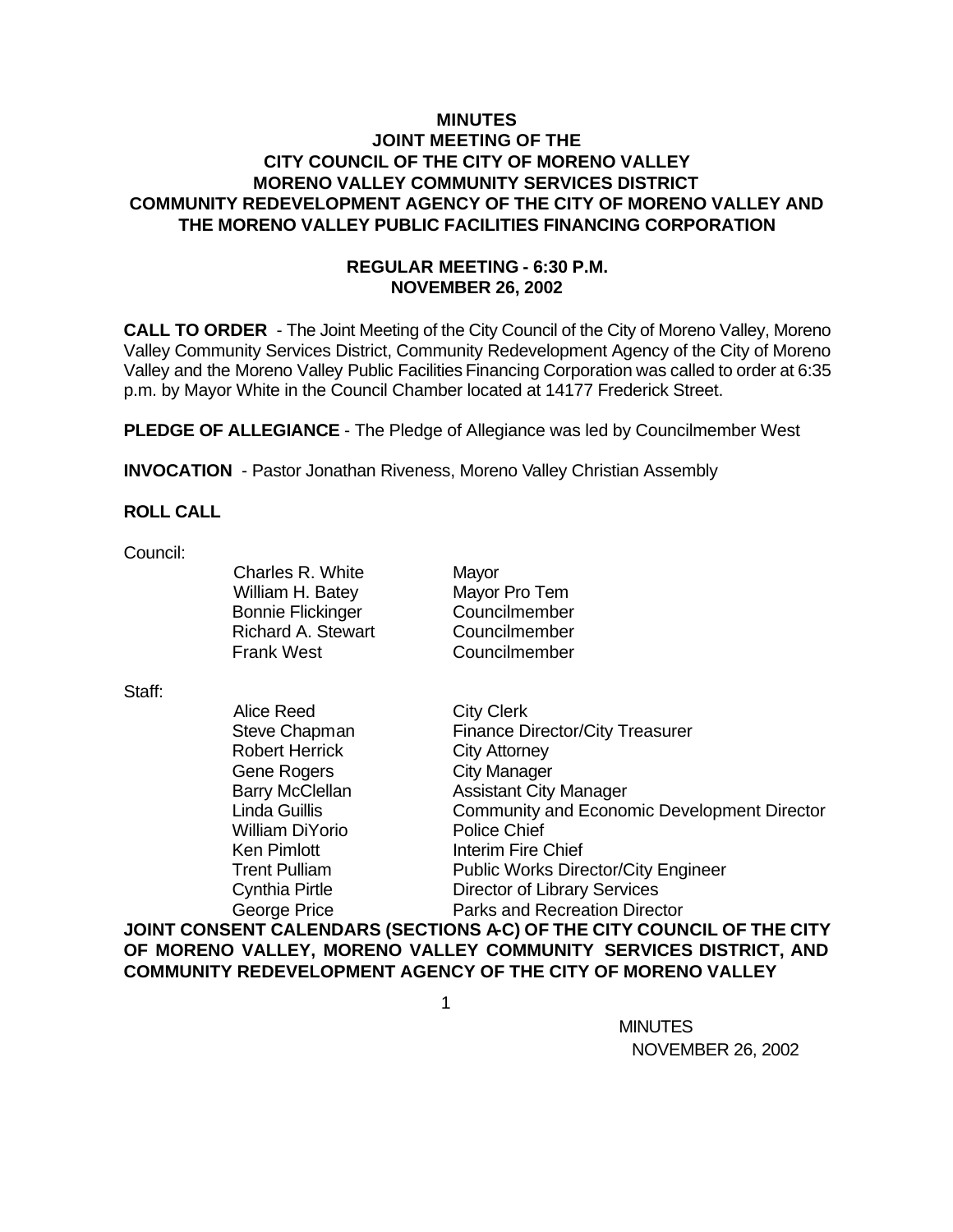# **MINUTES JOINT MEETING OF THE CITY COUNCIL OF THE CITY OF MORENO VALLEY MORENO VALLEY COMMUNITY SERVICES DISTRICT COMMUNITY REDEVELOPMENT AGENCY OF THE CITY OF MORENO VALLEY AND THE MORENO VALLEY PUBLIC FACILITIES FINANCING CORPORATION**

# **REGULAR MEETING - 6:30 P.M. NOVEMBER 26, 2002**

**CALL TO ORDER** - The Joint Meeting of the City Council of the City of Moreno Valley, Moreno Valley Community Services District, Community Redevelopment Agency of the City of Moreno Valley and the Moreno Valley Public Facilities Financing Corporation was called to order at 6:35 p.m. by Mayor White in the Council Chamber located at 14177 Frederick Street.

**PLEDGE OF ALLEGIANCE** - The Pledge of Allegiance was led by Councilmember West

**INVOCATION** - Pastor Jonathan Riveness, Moreno Valley Christian Assembly

# **ROLL CALL**

Council:

Charles R. White Mayor William H. Batey Mayor Pro Tem Bonnie Flickinger Councilmember Richard A. Stewart Councilmember Frank West Councilmember

#### Staff:

| Alice Reed             | <b>City Clerk</b>                                  |
|------------------------|----------------------------------------------------|
| Steve Chapman          | <b>Finance Director/City Treasurer</b>             |
| <b>Robert Herrick</b>  | <b>City Attorney</b>                               |
| <b>Gene Rogers</b>     | <b>City Manager</b>                                |
| <b>Barry McClellan</b> | <b>Assistant City Manager</b>                      |
| Linda Guillis          | <b>Community and Economic Development Director</b> |
| <b>William DiYorio</b> | <b>Police Chief</b>                                |
| <b>Ken Pimlott</b>     | Interim Fire Chief                                 |
| <b>Trent Pulliam</b>   | <b>Public Works Director/City Engineer</b>         |
| Cynthia Pirtle         | <b>Director of Library Services</b>                |
| George Price           | Parks and Recreation Director                      |
|                        |                                                    |

**JOINT CONSENT CALENDARS (SECTIONS A-C) OF THE CITY COUNCIL OF THE CITY OF MORENO VALLEY, MORENO VALLEY COMMUNITY SERVICES DISTRICT, AND COMMUNITY REDEVELOPMENT AGENCY OF THE CITY OF MORENO VALLEY**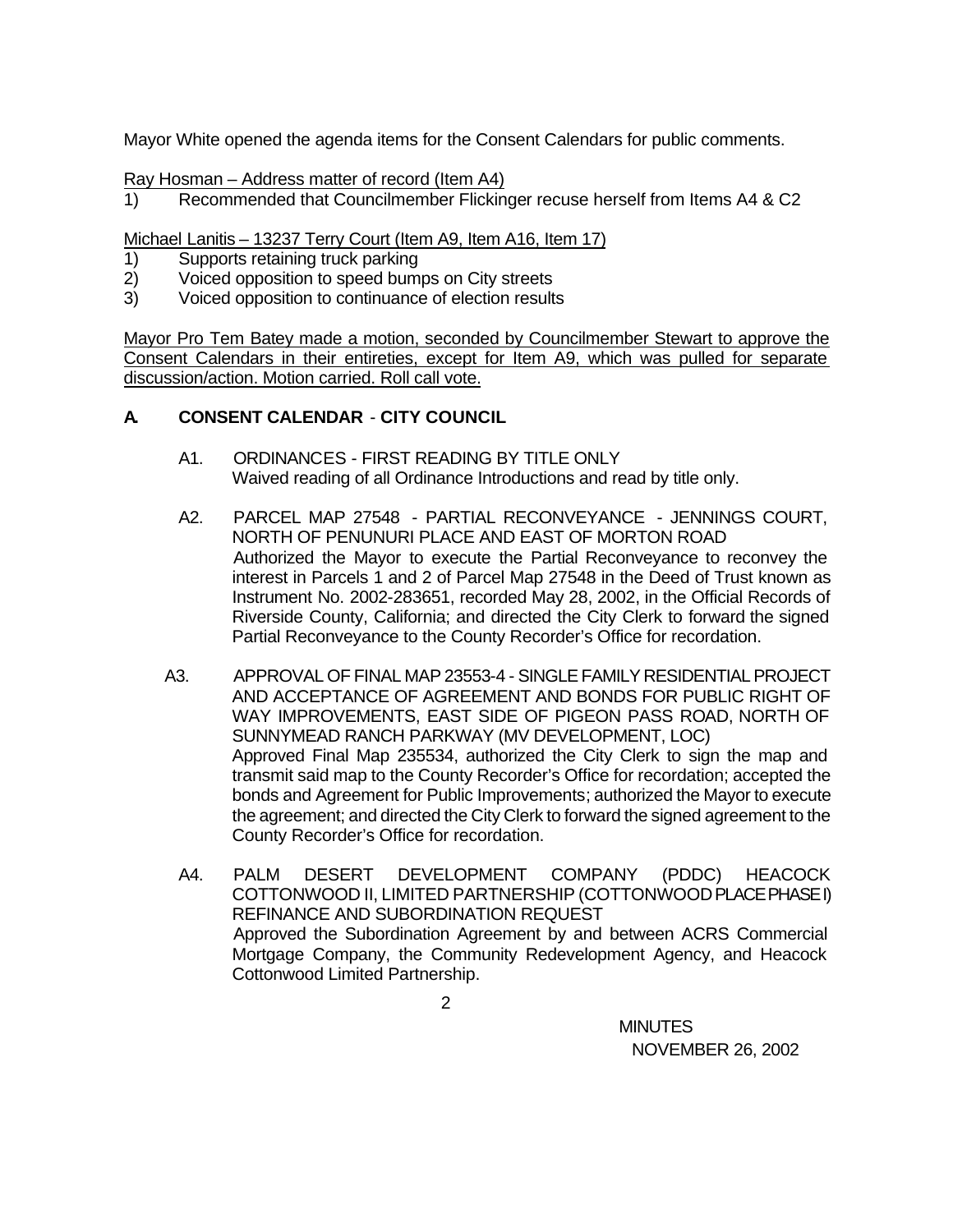Mayor White opened the agenda items for the Consent Calendars for public comments.

Ray Hosman – Address matter of record (Item A4)

1) Recommended that Councilmember Flickinger recuse herself from Items A4 & C2

Michael Lanitis – 13237 Terry Court (Item A9, Item A16, Item 17)

- 1) Supports retaining truck parking
- 2) Voiced opposition to speed bumps on City streets
- 3) Voiced opposition to continuance of election results

Mayor Pro Tem Batey made a motion, seconded by Councilmember Stewart to approve the Consent Calendars in their entireties, except for Item A9, which was pulled for separate discussion/action. Motion carried. Roll call vote.

# **A. CONSENT CALENDAR** - **CITY COUNCIL**

- A1. ORDINANCES FIRST READING BY TITLE ONLY Waived reading of all Ordinance Introductions and read by title only.
- A2. PARCEL MAP 27548 PARTIAL RECONVEYANCE JENNINGS COURT, NORTH OF PENUNURI PLACE AND EAST OF MORTON ROAD Authorized the Mayor to execute the Partial Reconveyance to reconvey the interest in Parcels 1 and 2 of Parcel Map 27548 in the Deed of Trust known as Instrument No. 2002-283651, recorded May 28, 2002, in the Official Records of Riverside County, California; and directed the City Clerk to forward the signed Partial Reconveyance to the County Recorder's Office for recordation.
- A3. APPROVAL OF FINAL MAP 23553-4 SINGLE FAMILY RESIDENTIAL PROJECT AND ACCEPTANCE OF AGREEMENT AND BONDS FOR PUBLIC RIGHT OF WAY IMPROVEMENTS, EAST SIDE OF PIGEON PASS ROAD, NORTH OF SUNNYMEAD RANCH PARKWAY (MV DEVELOPMENT, LOC) Approved Final Map 235534, authorized the City Clerk to sign the map and transmit said map to the County Recorder's Office for recordation; accepted the bonds and Agreement for Public Improvements; authorized the Mayor to execute the agreement; and directed the City Clerk to forward the signed agreement to the County Recorder's Office for recordation.
	- A4. PALM DESERT DEVELOPMENT COMPANY (PDDC) HEACOCK COTTONWOOD II, LIMITED PARTNERSHIP (COTTONWOOD PLACE PHASE I) REFINANCE AND SUBORDINATION REQUEST Approved the Subordination Agreement by and between ACRS Commercial Mortgage Company, the Community Redevelopment Agency, and Heacock Cottonwood Limited Partnership.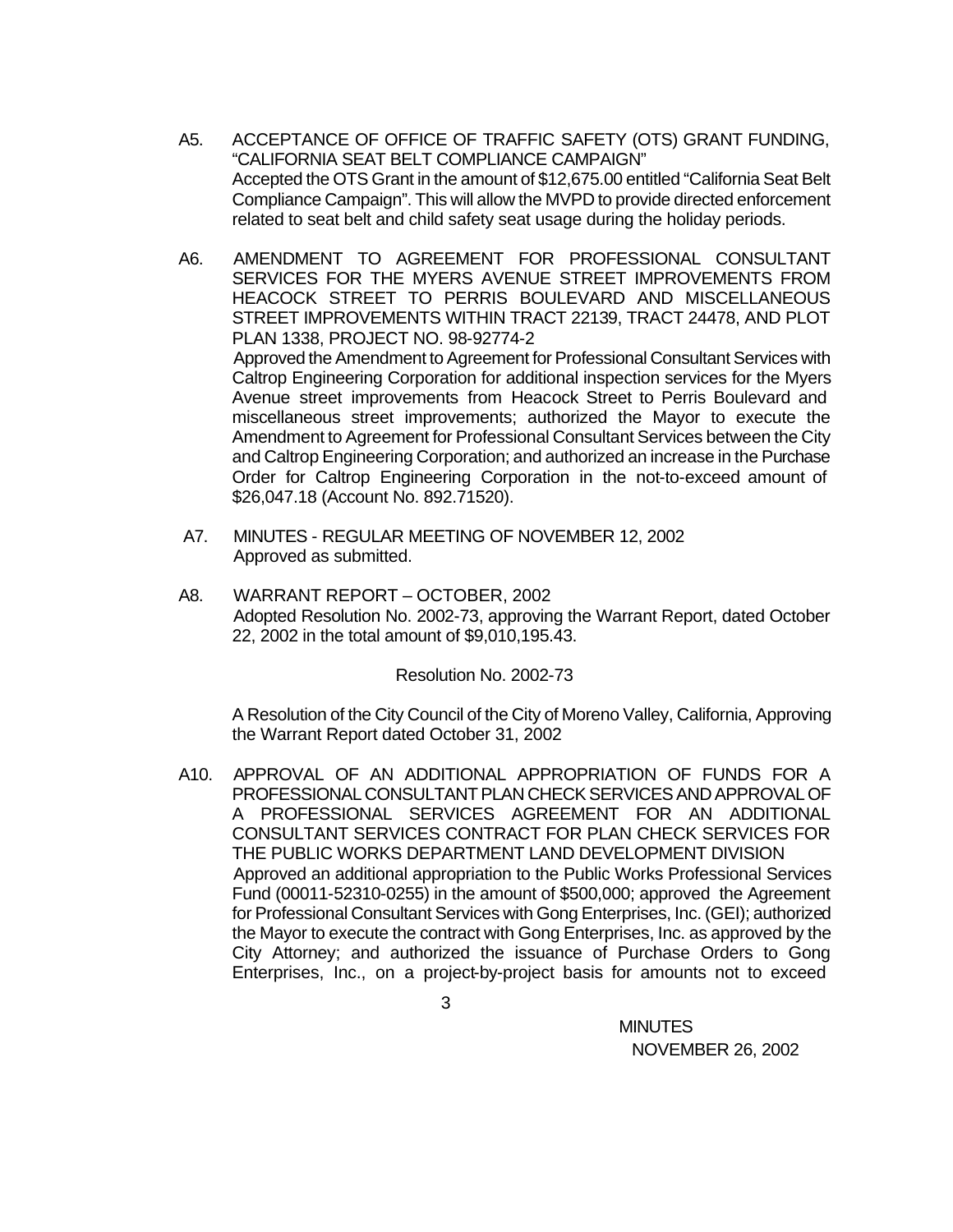- A5. ACCEPTANCE OF OFFICE OF TRAFFIC SAFETY (OTS) GRANT FUNDING, "CALIFORNIA SEAT BELT COMPLIANCE CAMPAIGN" Accepted the OTS Grant in the amount of \$12,675.00 entitled "California Seat Belt Compliance Campaign". This will allow the MVPD to provide directed enforcement related to seat belt and child safety seat usage during the holiday periods.
- A6. AMENDMENT TO AGREEMENT FOR PROFESSIONAL CONSULTANT SERVICES FOR THE MYERS AVENUE STREET IMPROVEMENTS FROM HEACOCK STREET TO PERRIS BOULEVARD AND MISCELLANEOUS STREET IMPROVEMENTS WITHIN TRACT 22139, TRACT 24478, AND PLOT PLAN 1338, PROJECT NO. 98-92774-2 Approved the Amendment to Agreement for Professional Consultant Services with Caltrop Engineering Corporation for additional inspection services for the Myers Avenue street improvements from Heacock Street to Perris Boulevard and miscellaneous street improvements; authorized the Mayor to execute the Amendment to Agreement for Professional Consultant Services between the City and Caltrop Engineering Corporation; and authorized an increase in the Purchase Order for Caltrop Engineering Corporation in the not-to-exceed amount of \$26,047.18 (Account No. 892.71520).
- A7. MINUTES REGULAR MEETING OF NOVEMBER 12, 2002 Approved as submitted.
- A8. WARRANT REPORT OCTOBER, 2002 Adopted Resolution No. 2002-73, approving the Warrant Report, dated October 22, 2002 in the total amount of \$9,010,195.43.

Resolution No. 2002-73

A Resolution of the City Council of the City of Moreno Valley, California, Approving the Warrant Report dated October 31, 2002

A10. APPROVAL OF AN ADDITIONAL APPROPRIATION OF FUNDS FOR A PROFESSIONAL CONSULTANT PLAN CHECK SERVICES AND APPROVAL OF A PROFESSIONAL SERVICES AGREEMENT FOR AN ADDITIONAL CONSULTANT SERVICES CONTRACT FOR PLAN CHECK SERVICES FOR THE PUBLIC WORKS DEPARTMENT LAND DEVELOPMENT DIVISION Approved an additional appropriation to the Public Works Professional Services Fund (00011-52310-0255) in the amount of \$500,000; approved the Agreement for Professional Consultant Services with Gong Enterprises, Inc. (GEI); authorized the Mayor to execute the contract with Gong Enterprises, Inc. as approved by the City Attorney; and authorized the issuance of Purchase Orders to Gong Enterprises, Inc., on a project-by-project basis for amounts not to exceed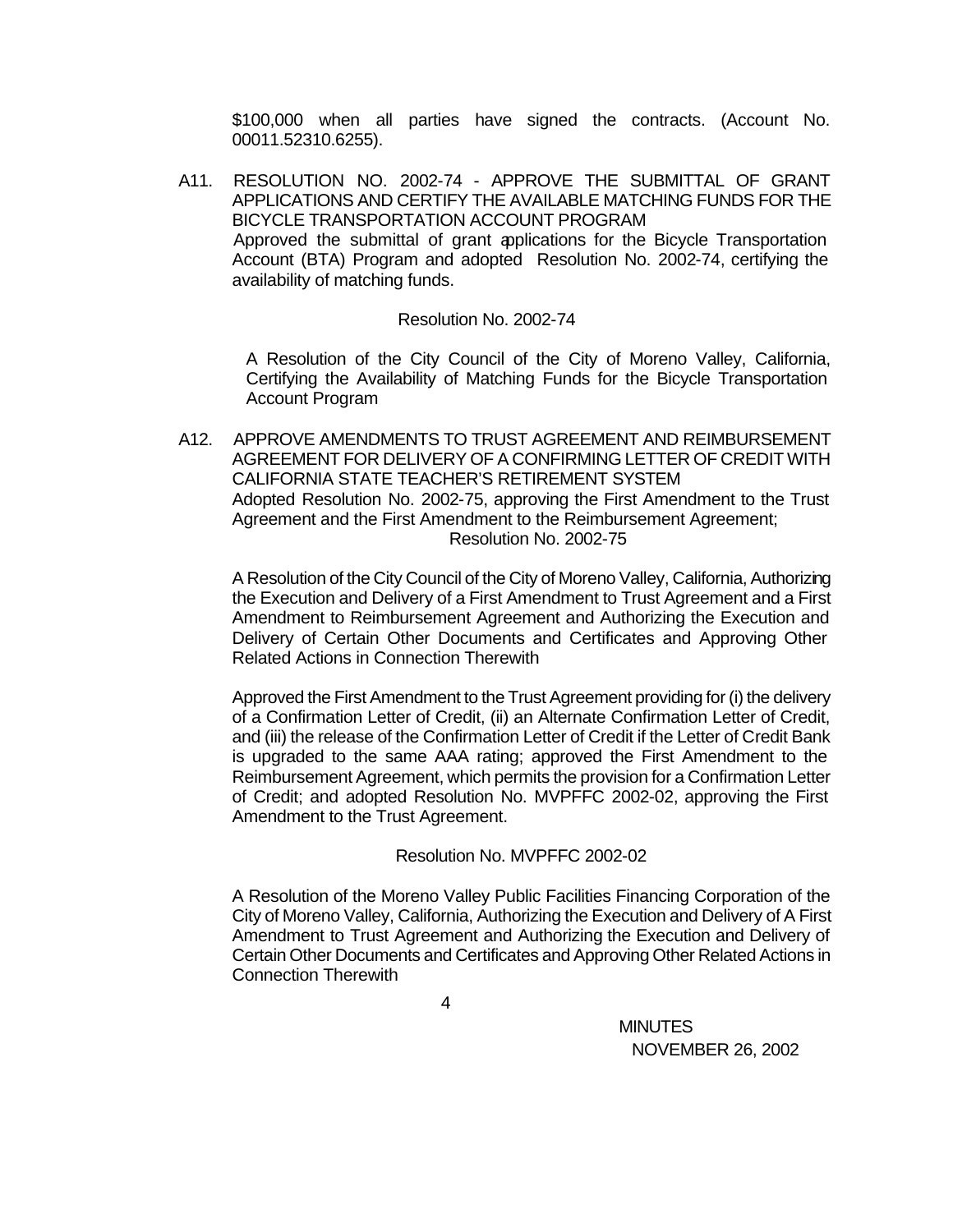\$100,000 when all parties have signed the contracts. (Account No. 00011.52310.6255).

A11. RESOLUTION NO. 2002-74 - APPROVE THE SUBMITTAL OF GRANT APPLICATIONS AND CERTIFY THE AVAILABLE MATCHING FUNDS FOR THE BICYCLE TRANSPORTATION ACCOUNT PROGRAM Approved the submittal of grant applications for the Bicycle Transportation Account (BTA) Program and adopted Resolution No. 2002-74, certifying the availability of matching funds.

### Resolution No. 2002-74

A Resolution of the City Council of the City of Moreno Valley, California, Certifying the Availability of Matching Funds for the Bicycle Transportation Account Program

A12. APPROVE AMENDMENTS TO TRUST AGREEMENT AND REIMBURSEMENT AGREEMENT FOR DELIVERY OF A CONFIRMING LETTER OF CREDIT WITH CALIFORNIA STATE TEACHER'S RETIREMENT SYSTEM Adopted Resolution No. 2002-75, approving the First Amendment to the Trust Agreement and the First Amendment to the Reimbursement Agreement; Resolution No. 2002-75

A Resolution of the City Council of the City of Moreno Valley, California, Authorizing the Execution and Delivery of a First Amendment to Trust Agreement and a First Amendment to Reimbursement Agreement and Authorizing the Execution and Delivery of Certain Other Documents and Certificates and Approving Other Related Actions in Connection Therewith

Approved the First Amendment to the Trust Agreement providing for (i) the delivery of a Confirmation Letter of Credit, (ii) an Alternate Confirmation Letter of Credit, and (iii) the release of the Confirmation Letter of Credit if the Letter of Credit Bank is upgraded to the same AAA rating; approved the First Amendment to the Reimbursement Agreement, which permits the provision for a Confirmation Letter of Credit; and adopted Resolution No. MVPFFC 2002-02, approving the First Amendment to the Trust Agreement.

# Resolution No. MVPFFC 2002-02

A Resolution of the Moreno Valley Public Facilities Financing Corporation of the City of Moreno Valley, California, Authorizing the Execution and Delivery of A First Amendment to Trust Agreement and Authorizing the Execution and Delivery of Certain Other Documents and Certificates and Approving Other Related Actions in Connection Therewith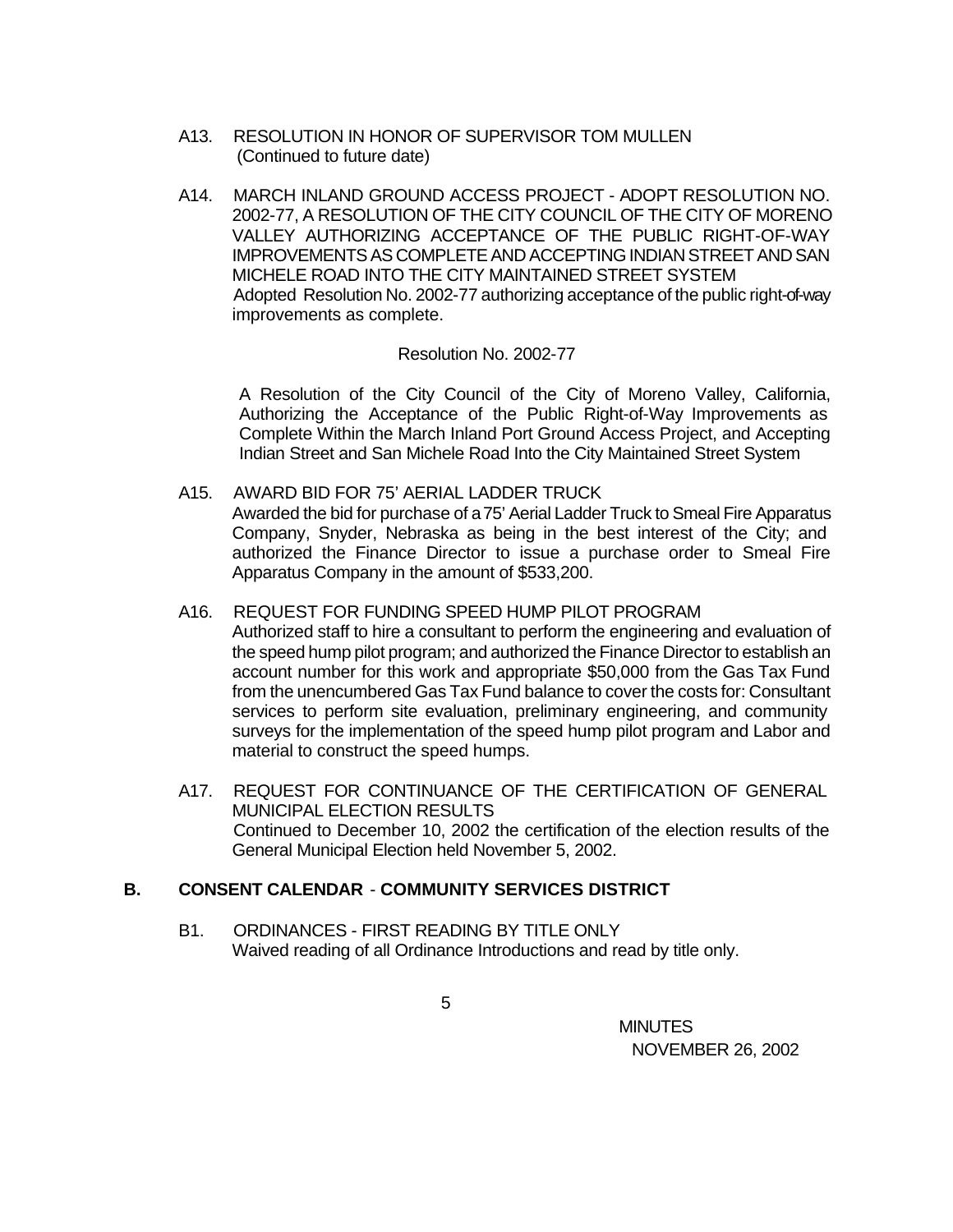- A13. RESOLUTION IN HONOR OF SUPERVISOR TOM MULLEN (Continued to future date)
- A14. MARCH INLAND GROUND ACCESS PROJECT ADOPT RESOLUTION NO. 2002-77, A RESOLUTION OF THE CITY COUNCIL OF THE CITY OF MORENO VALLEY AUTHORIZING ACCEPTANCE OF THE PUBLIC RIGHT-OF-WAY IMPROVEMENTS AS COMPLETE AND ACCEPTING INDIAN STREET AND SAN MICHELE ROAD INTO THE CITY MAINTAINED STREET SYSTEM Adopted Resolution No. 2002-77 authorizing acceptance of the public right-of-way improvements as complete.

### Resolution No. 2002-77

A Resolution of the City Council of the City of Moreno Valley, California, Authorizing the Acceptance of the Public Right-of-Way Improvements as Complete Within the March Inland Port Ground Access Project, and Accepting Indian Street and San Michele Road Into the City Maintained Street System

A15. AWARD BID FOR 75' AERIAL LADDER TRUCK

Awarded the bid for purchase of a 75' Aerial Ladder Truck to Smeal Fire Apparatus Company, Snyder, Nebraska as being in the best interest of the City; and authorized the Finance Director to issue a purchase order to Smeal Fire Apparatus Company in the amount of \$533,200.

- A16. REQUEST FOR FUNDING SPEED HUMP PILOT PROGRAM Authorized staff to hire a consultant to perform the engineering and evaluation of the speed hump pilot program; and authorized the Finance Director to establish an account number for this work and appropriate \$50,000 from the Gas Tax Fund from the unencumbered Gas Tax Fund balance to cover the costs for: Consultant services to perform site evaluation, preliminary engineering, and community surveys for the implementation of the speed hump pilot program and Labor and material to construct the speed humps.
- A17. REQUEST FOR CONTINUANCE OF THE CERTIFICATION OF GENERAL MUNICIPAL ELECTION RESULTS Continued to December 10, 2002 the certification of the election results of the General Municipal Election held November 5, 2002.

# **B. CONSENT CALENDAR** - **COMMUNITY SERVICES DISTRICT**

B1. ORDINANCES - FIRST READING BY TITLE ONLY Waived reading of all Ordinance Introductions and read by title only.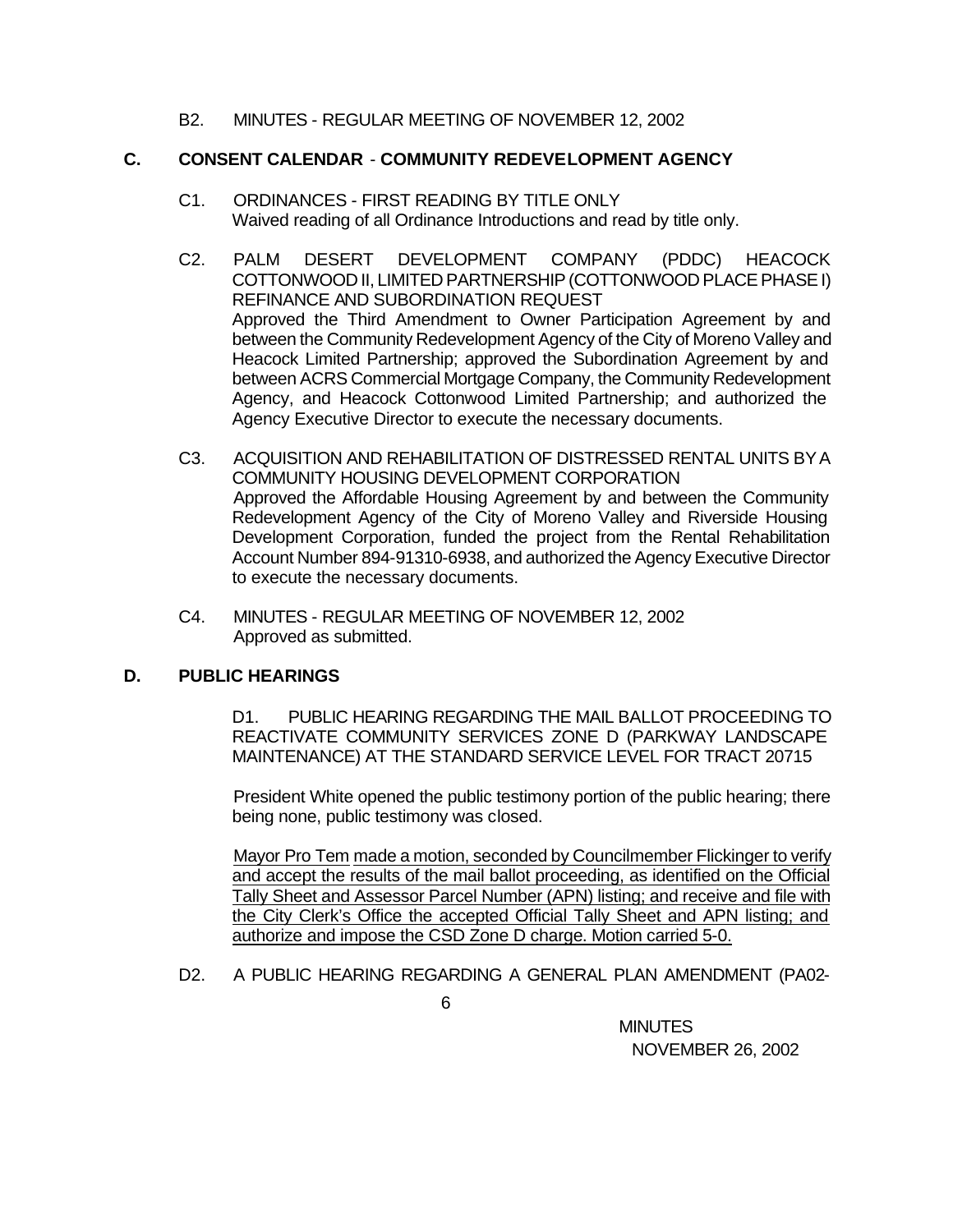## B2. MINUTES - REGULAR MEETING OF NOVEMBER 12, 2002

## **C. CONSENT CALENDAR** - **COMMUNITY REDEVELOPMENT AGENCY**

- C1. ORDINANCES FIRST READING BY TITLE ONLY Waived reading of all Ordinance Introductions and read by title only.
- C2. PALM DESERT DEVELOPMENT COMPANY (PDDC) HEACOCK COTTONWOOD II, LIMITED PARTNERSHIP (COTTONWOOD PLACE PHASE I) REFINANCE AND SUBORDINATION REQUEST Approved the Third Amendment to Owner Participation Agreement by and between the Community Redevelopment Agency of the City of Moreno Valley and Heacock Limited Partnership; approved the Subordination Agreement by and between ACRS Commercial Mortgage Company, the Community Redevelopment Agency, and Heacock Cottonwood Limited Partnership; and authorized the Agency Executive Director to execute the necessary documents.
- C3. ACQUISITION AND REHABILITATION OF DISTRESSED RENTAL UNITS BY A COMMUNITY HOUSING DEVELOPMENT CORPORATION Approved the Affordable Housing Agreement by and between the Community Redevelopment Agency of the City of Moreno Valley and Riverside Housing Development Corporation, funded the project from the Rental Rehabilitation Account Number 894-91310-6938, and authorized the Agency Executive Director to execute the necessary documents.
- C4. MINUTES REGULAR MEETING OF NOVEMBER 12, 2002 Approved as submitted.

# **D. PUBLIC HEARINGS**

D1. PUBLIC HEARING REGARDING THE MAIL BALLOT PROCEEDING TO REACTIVATE COMMUNITY SERVICES ZONE D (PARKWAY LANDSCAPE MAINTENANCE) AT THE STANDARD SERVICE LEVEL FOR TRACT 20715

President White opened the public testimony portion of the public hearing; there being none, public testimony was closed.

Mayor Pro Tem made a motion, seconded by Councilmember Flickinger to verify and accept the results of the mail ballot proceeding, as identified on the Official Tally Sheet and Assessor Parcel Number (APN) listing; and receive and file with the City Clerk's Office the accepted Official Tally Sheet and APN listing; and authorize and impose the CSD Zone D charge. Motion carried 5-0.

D2. A PUBLIC HEARING REGARDING A GENERAL PLAN AMENDMENT (PA02-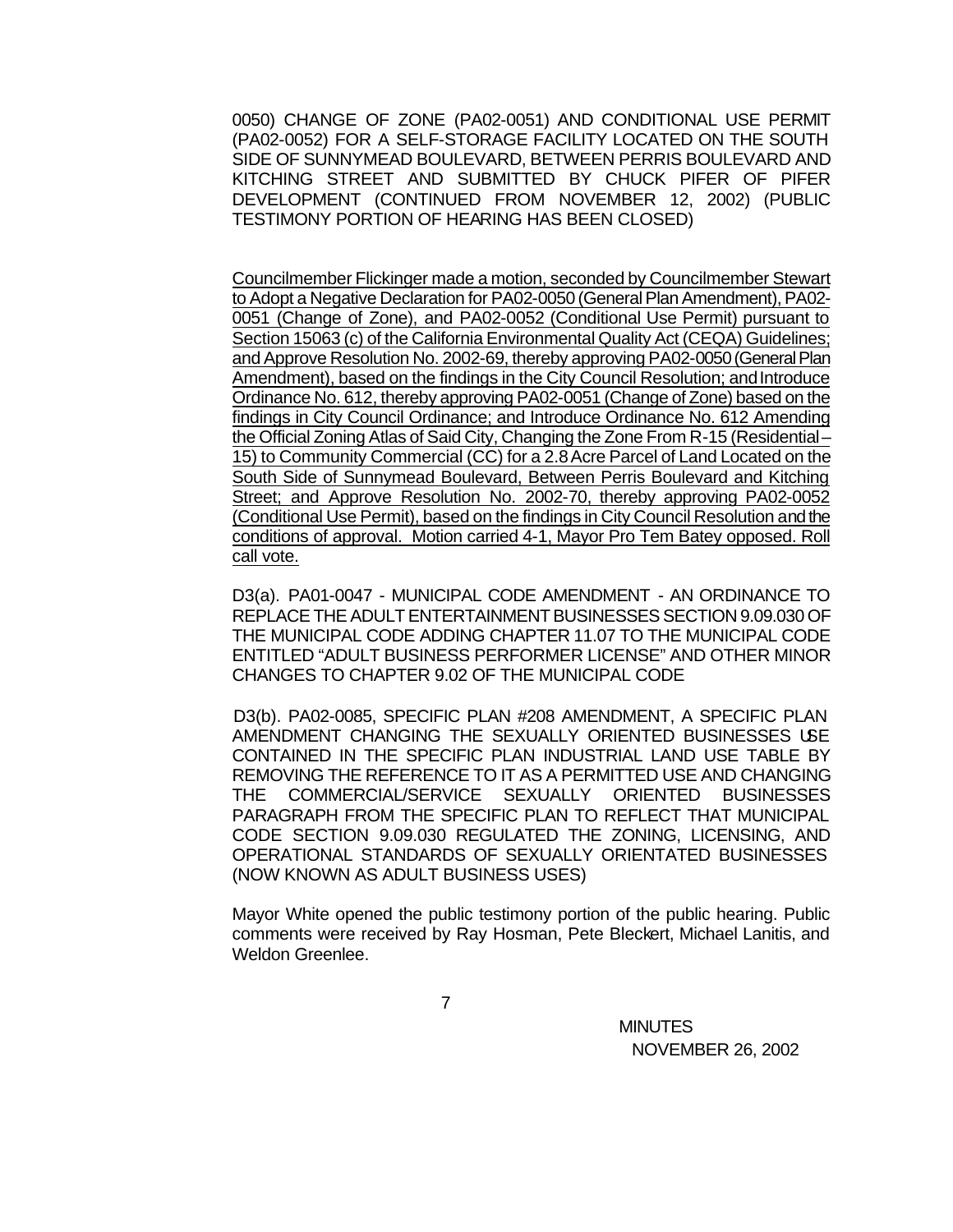0050) CHANGE OF ZONE (PA02-0051) AND CONDITIONAL USE PERMIT (PA02-0052) FOR A SELF-STORAGE FACILITY LOCATED ON THE SOUTH SIDE OF SUNNYMEAD BOULEVARD, BETWEEN PERRIS BOULEVARD AND KITCHING STREET AND SUBMITTED BY CHUCK PIFER OF PIFER DEVELOPMENT (CONTINUED FROM NOVEMBER 12, 2002) (PUBLIC TESTIMONY PORTION OF HEARING HAS BEEN CLOSED)

Councilmember Flickinger made a motion, seconded by Councilmember Stewart to Adopt a Negative Declaration for PA02-0050 (General Plan Amendment), PA02- 0051 (Change of Zone), and PA02-0052 (Conditional Use Permit) pursuant to Section 15063 (c) of the California Environmental Quality Act (CEQA) Guidelines; and Approve Resolution No. 2002-69, thereby approving PA02-0050 (General Plan Amendment), based on the findings in the City Council Resolution; and Introduce Ordinance No. 612, thereby approving PA02-0051 (Change of Zone) based on the findings in City Council Ordinance; and Introduce Ordinance No. 612 Amending the Official Zoning Atlas of Said City, Changing the Zone From R-15 (Residential – 15) to Community Commercial (CC) for a 2.8 Acre Parcel of Land Located on the South Side of Sunnymead Boulevard, Between Perris Boulevard and Kitching Street; and Approve Resolution No. 2002-70, thereby approving PA02-0052 (Conditional Use Permit), based on the findings in City Council Resolution and the conditions of approval. Motion carried 4-1, Mayor Pro Tem Batey opposed. Roll call vote.

D3(a). PA01-0047 - MUNICIPAL CODE AMENDMENT - AN ORDINANCE TO REPLACE THE ADULT ENTERTAINMENT BUSINESSES SECTION 9.09.030 OF THE MUNICIPAL CODE ADDING CHAPTER 11.07 TO THE MUNICIPAL CODE ENTITLED "ADULT BUSINESS PERFORMER LICENSE" AND OTHER MINOR CHANGES TO CHAPTER 9.02 OF THE MUNICIPAL CODE

D3(b). PA02-0085, SPECIFIC PLAN #208 AMENDMENT, A SPECIFIC PLAN AMENDMENT CHANGING THE SEXUALLY ORIENTED BUSINESSES USE CONTAINED IN THE SPECIFIC PLAN INDUSTRIAL LAND USE TABLE BY REMOVING THE REFERENCE TO IT AS A PERMITTED USE AND CHANGING THE COMMERCIAL/SERVICE SEXUALLY ORIENTED BUSINESSES PARAGRAPH FROM THE SPECIFIC PLAN TO REFLECT THAT MUNICIPAL CODE SECTION 9.09.030 REGULATED THE ZONING, LICENSING, AND OPERATIONAL STANDARDS OF SEXUALLY ORIENTATED BUSINESSES (NOW KNOWN AS ADULT BUSINESS USES)

Mayor White opened the public testimony portion of the public hearing. Public comments were received by Ray Hosman, Pete Bleckert, Michael Lanitis, and Weldon Greenlee.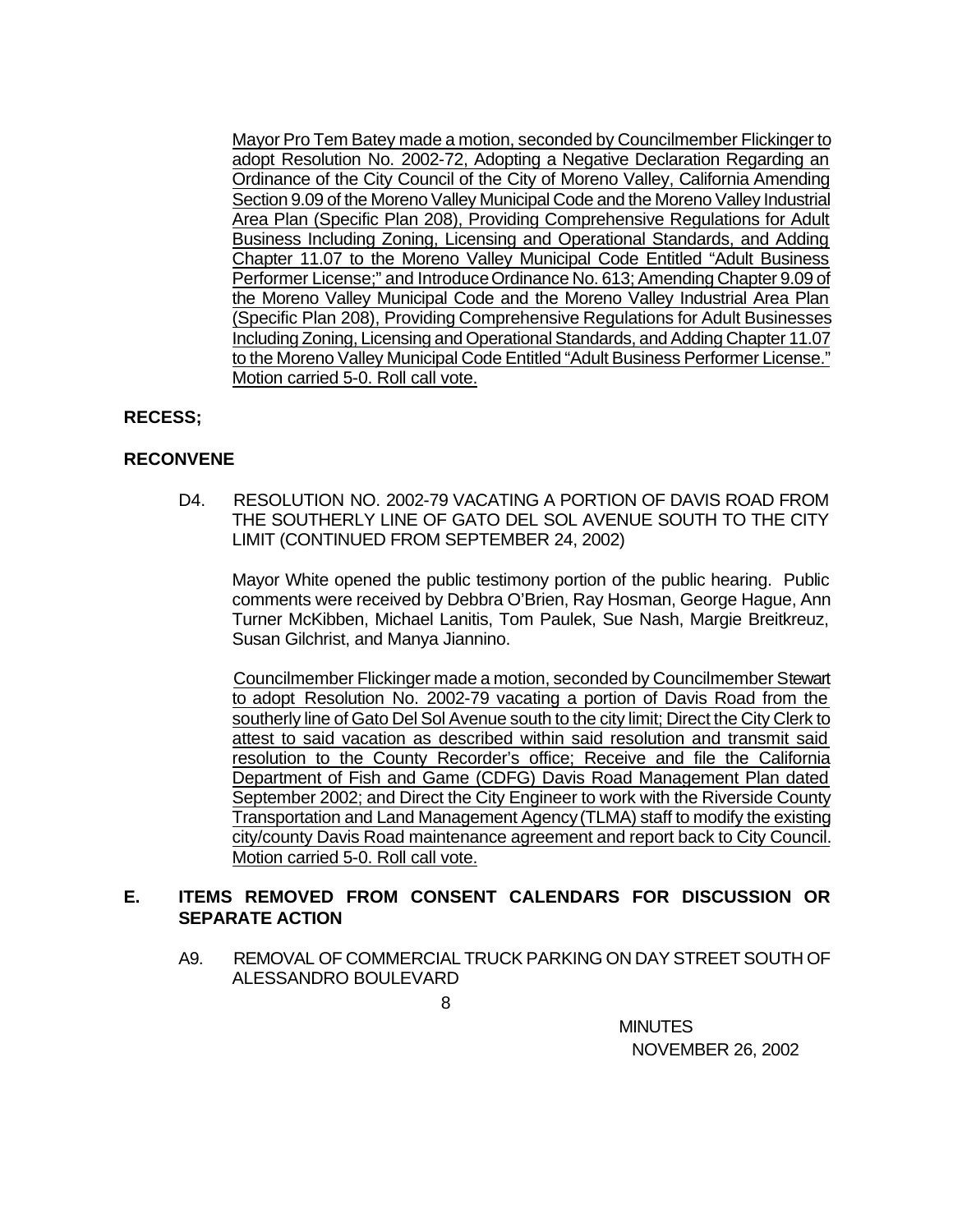Mayor Pro Tem Batey made a motion, seconded by Councilmember Flickinger to adopt Resolution No. 2002-72, Adopting a Negative Declaration Regarding an Ordinance of the City Council of the City of Moreno Valley, California Amending Section 9.09 of the Moreno Valley Municipal Code and the Moreno Valley Industrial Area Plan (Specific Plan 208), Providing Comprehensive Regulations for Adult Business Including Zoning, Licensing and Operational Standards, and Adding Chapter 11.07 to the Moreno Valley Municipal Code Entitled "Adult Business Performer License;" and Introduce Ordinance No. 613; Amending Chapter 9.09 of the Moreno Valley Municipal Code and the Moreno Valley Industrial Area Plan (Specific Plan 208), Providing Comprehensive Regulations for Adult Businesses Including Zoning, Licensing and Operational Standards, and Adding Chapter 11.07 to the Moreno Valley Municipal Code Entitled "Adult Business Performer License." Motion carried 5-0. Roll call vote.

# **RECESS;**

# **RECONVENE**

D4. RESOLUTION NO. 2002-79 VACATING A PORTION OF DAVIS ROAD FROM THE SOUTHERLY LINE OF GATO DEL SOL AVENUE SOUTH TO THE CITY LIMIT (CONTINUED FROM SEPTEMBER 24, 2002)

Mayor White opened the public testimony portion of the public hearing. Public comments were received by Debbra O'Brien, Ray Hosman, George Hague, Ann Turner McKibben, Michael Lanitis, Tom Paulek, Sue Nash, Margie Breitkreuz, Susan Gilchrist, and Manya Jiannino.

Councilmember Flickinger made a motion, seconded by Councilmember Stewart to adopt Resolution No. 2002-79 vacating a portion of Davis Road from the southerly line of Gato Del Sol Avenue south to the city limit; Direct the City Clerk to attest to said vacation as described within said resolution and transmit said resolution to the County Recorder's office; Receive and file the California Department of Fish and Game (CDFG) Davis Road Management Plan dated September 2002; and Direct the City Engineer to work with the Riverside County Transportation and Land Management Agency (TLMA) staff to modify the existing city/county Davis Road maintenance agreement and report back to City Council. Motion carried 5-0. Roll call vote.

# **E. ITEMS REMOVED FROM CONSENT CALENDARS FOR DISCUSSION OR SEPARATE ACTION**

A9. REMOVAL OF COMMERCIAL TRUCK PARKING ON DAY STREET SOUTH OF ALESSANDRO BOULEVARD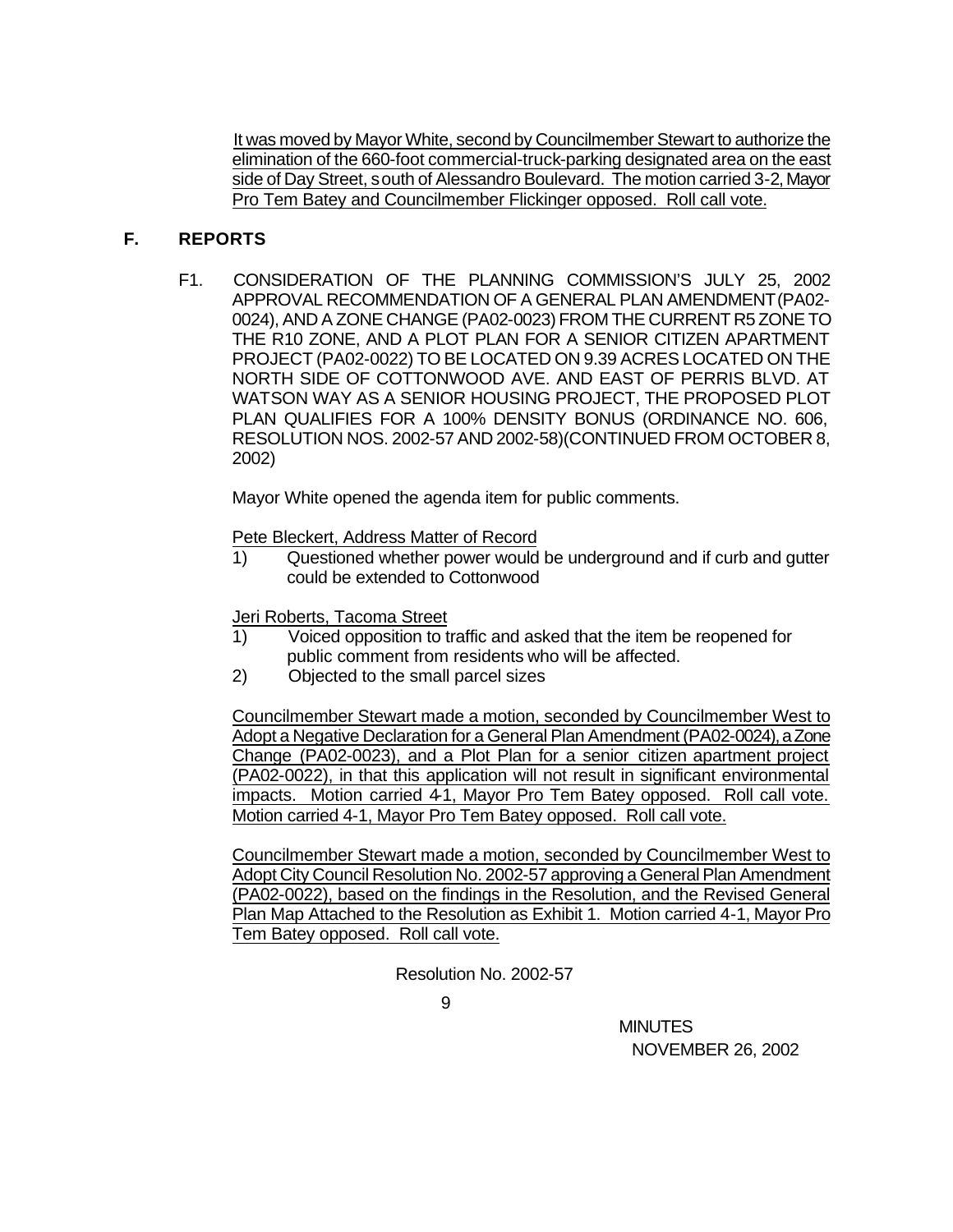It was moved by Mayor White, second by Councilmember Stewart to authorize the elimination of the 660-foot commercial-truck-parking designated area on the east side of Day Street, south of Alessandro Boulevard. The motion carried 3-2, Mayor Pro Tem Batey and Councilmember Flickinger opposed. Roll call vote.

# **F. REPORTS**

F1. CONSIDERATION OF THE PLANNING COMMISSION'S JULY 25, 2002 APPROVAL RECOMMENDATION OF A GENERAL PLAN AMENDMENT (PA02- 0024), AND A ZONE CHANGE (PA02-0023) FROM THE CURRENT R5 ZONE TO THE R10 ZONE, AND A PLOT PLAN FOR A SENIOR CITIZEN APARTMENT PROJECT (PA02-0022) TO BE LOCATED ON 9.39 ACRES LOCATED ON THE NORTH SIDE OF COTTONWOOD AVE. AND EAST OF PERRIS BLVD. AT WATSON WAY AS A SENIOR HOUSING PROJECT, THE PROPOSED PLOT PLAN QUALIFIES FOR A 100% DENSITY BONUS (ORDINANCE NO. 606, RESOLUTION NOS. 2002-57 AND 2002-58)(CONTINUED FROM OCTOBER 8, 2002)

Mayor White opened the agenda item for public comments.

Pete Bleckert, Address Matter of Record

1) Questioned whether power would be underground and if curb and gutter could be extended to Cottonwood

Jeri Roberts, Tacoma Street

- 1) Voiced opposition to traffic and asked that the item be reopened for public comment from residents who will be affected.
- 2) Objected to the small parcel sizes

Councilmember Stewart made a motion, seconded by Councilmember West to Adopt a Negative Declaration for a General Plan Amendment (PA02-0024), a Zone Change (PA02-0023), and a Plot Plan for a senior citizen apartment project (PA02-0022), in that this application will not result in significant environmental impacts. Motion carried 4-1, Mayor Pro Tem Batey opposed. Roll call vote. Motion carried 4-1, Mayor Pro Tem Batey opposed. Roll call vote.

Councilmember Stewart made a motion, seconded by Councilmember West to Adopt City Council Resolution No. 2002-57 approving a General Plan Amendment (PA02-0022), based on the findings in the Resolution, and the Revised General Plan Map Attached to the Resolution as Exhibit 1. Motion carried 4-1, Mayor Pro Tem Batey opposed. Roll call vote.

Resolution No. 2002-57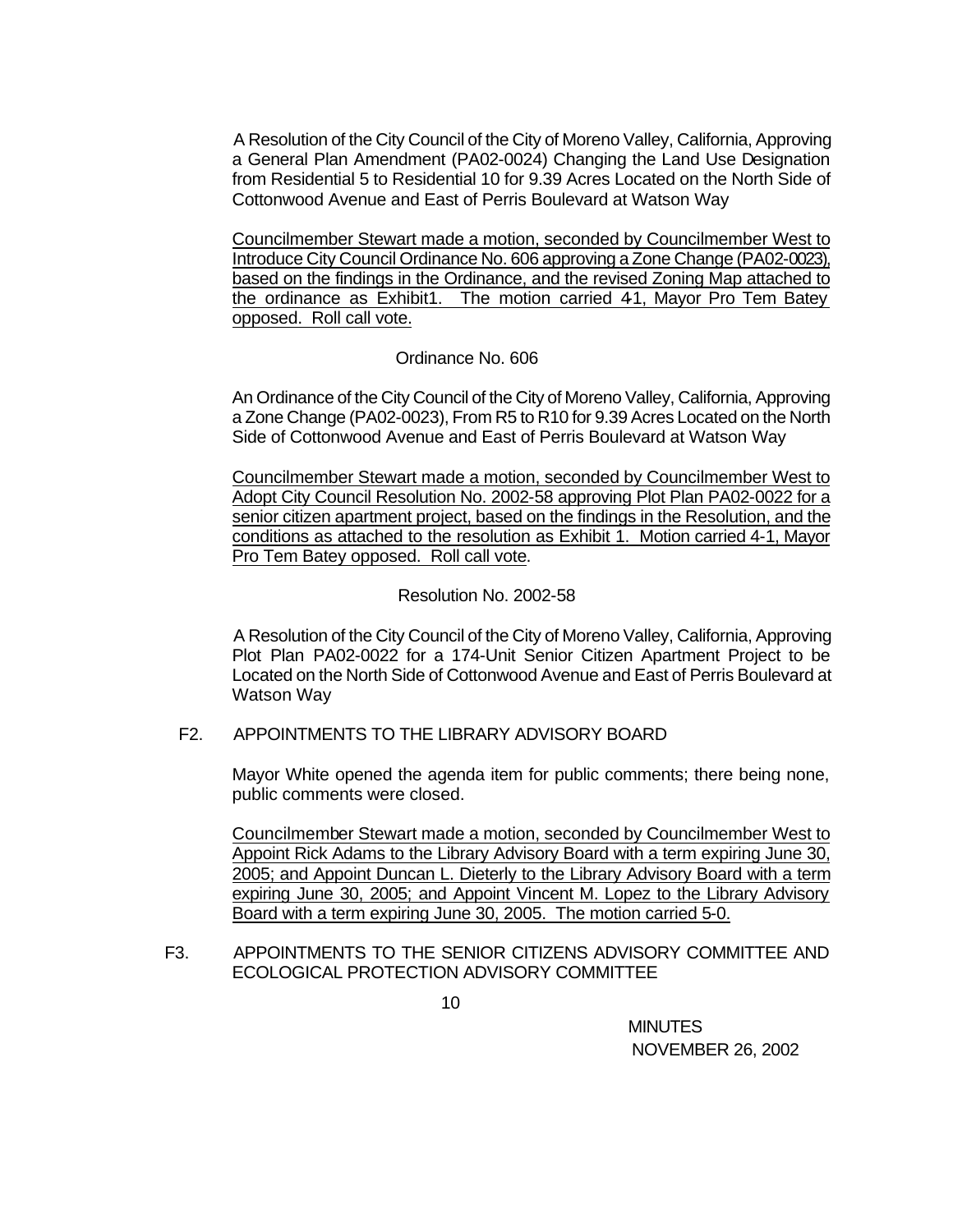A Resolution of the City Council of the City of Moreno Valley, California, Approving a General Plan Amendment (PA02-0024) Changing the Land Use Designation from Residential 5 to Residential 10 for 9.39 Acres Located on the North Side of Cottonwood Avenue and East of Perris Boulevard at Watson Way

Councilmember Stewart made a motion, seconded by Councilmember West to Introduce City Council Ordinance No. 606 approving a Zone Change (PA02-0023), based on the findings in the Ordinance, and the revised Zoning Map attached to the ordinance as Exhibit1. The motion carried 41, Mayor Pro Tem Batey opposed. Roll call vote.

# Ordinance No. 606

An Ordinance of the City Council of the City of Moreno Valley, California, Approving a Zone Change (PA02-0023), From R5 to R10 for 9.39 Acres Located on the North Side of Cottonwood Avenue and East of Perris Boulevard at Watson Way

Councilmember Stewart made a motion, seconded by Councilmember West to Adopt City Council Resolution No. 2002-58 approving Plot Plan PA02-0022 for a senior citizen apartment project, based on the findings in the Resolution, and the conditions as attached to the resolution as Exhibit 1. Motion carried 4-1, Mayor Pro Tem Batey opposed. Roll call vote.

### Resolution No. 2002-58

A Resolution of the City Council of the City of Moreno Valley, California, Approving Plot Plan PA02-0022 for a 174-Unit Senior Citizen Apartment Project to be Located on the North Side of Cottonwood Avenue and East of Perris Boulevard at Watson Way

# F2. APPOINTMENTS TO THE LIBRARY ADVISORY BOARD

Mayor White opened the agenda item for public comments; there being none, public comments were closed.

Councilmember Stewart made a motion, seconded by Councilmember West to Appoint Rick Adams to the Library Advisory Board with a term expiring June 30, 2005; and Appoint Duncan L. Dieterly to the Library Advisory Board with a term expiring June 30, 2005; and Appoint Vincent M. Lopez to the Library Advisory Board with a term expiring June 30, 2005. The motion carried 5-0.

F3. APPOINTMENTS TO THE SENIOR CITIZENS ADVISORY COMMITTEE AND ECOLOGICAL PROTECTION ADVISORY COMMITTEE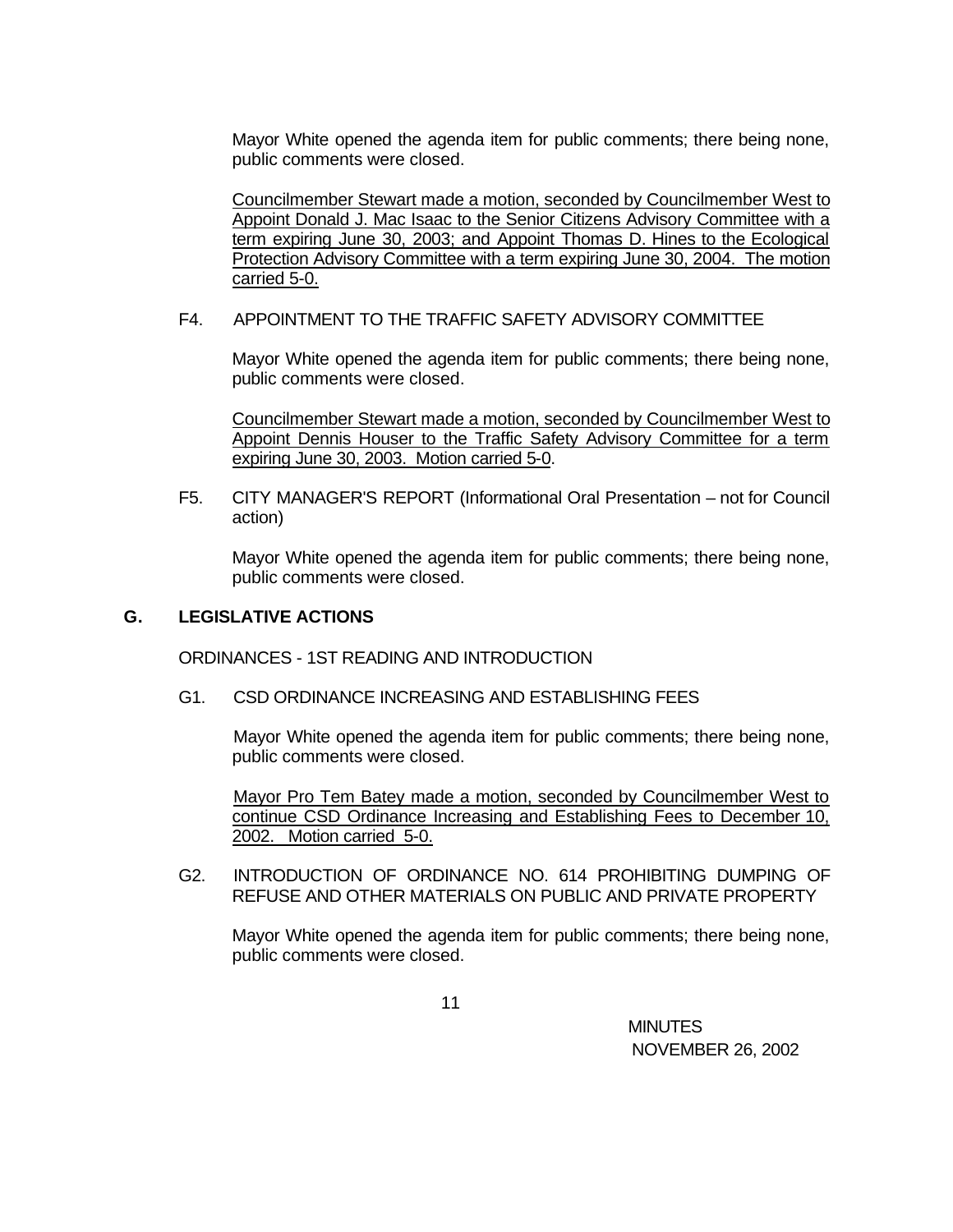Mayor White opened the agenda item for public comments; there being none, public comments were closed.

Councilmember Stewart made a motion, seconded by Councilmember West to Appoint Donald J. Mac Isaac to the Senior Citizens Advisory Committee with a term expiring June 30, 2003; and Appoint Thomas D. Hines to the Ecological Protection Advisory Committee with a term expiring June 30, 2004. The motion carried 5-0.

## F4. APPOINTMENT TO THE TRAFFIC SAFETY ADVISORY COMMITTEE

Mayor White opened the agenda item for public comments; there being none, public comments were closed.

Councilmember Stewart made a motion, seconded by Councilmember West to Appoint Dennis Houser to the Traffic Safety Advisory Committee for a term expiring June 30, 2003. Motion carried 5-0.

F5. CITY MANAGER'S REPORT (Informational Oral Presentation – not for Council action)

Mayor White opened the agenda item for public comments; there being none, public comments were closed.

# **G. LEGISLATIVE ACTIONS**

ORDINANCES - 1ST READING AND INTRODUCTION

### G1. CSD ORDINANCE INCREASING AND ESTABLISHING FEES

Mayor White opened the agenda item for public comments; there being none, public comments were closed.

Mayor Pro Tem Batey made a motion, seconded by Councilmember West to continue CSD Ordinance Increasing and Establishing Fees to December 10, 2002. Motion carried 5-0.

G2. INTRODUCTION OF ORDINANCE NO. 614 PROHIBITING DUMPING OF REFUSE AND OTHER MATERIALS ON PUBLIC AND PRIVATE PROPERTY

Mayor White opened the agenda item for public comments; there being none, public comments were closed.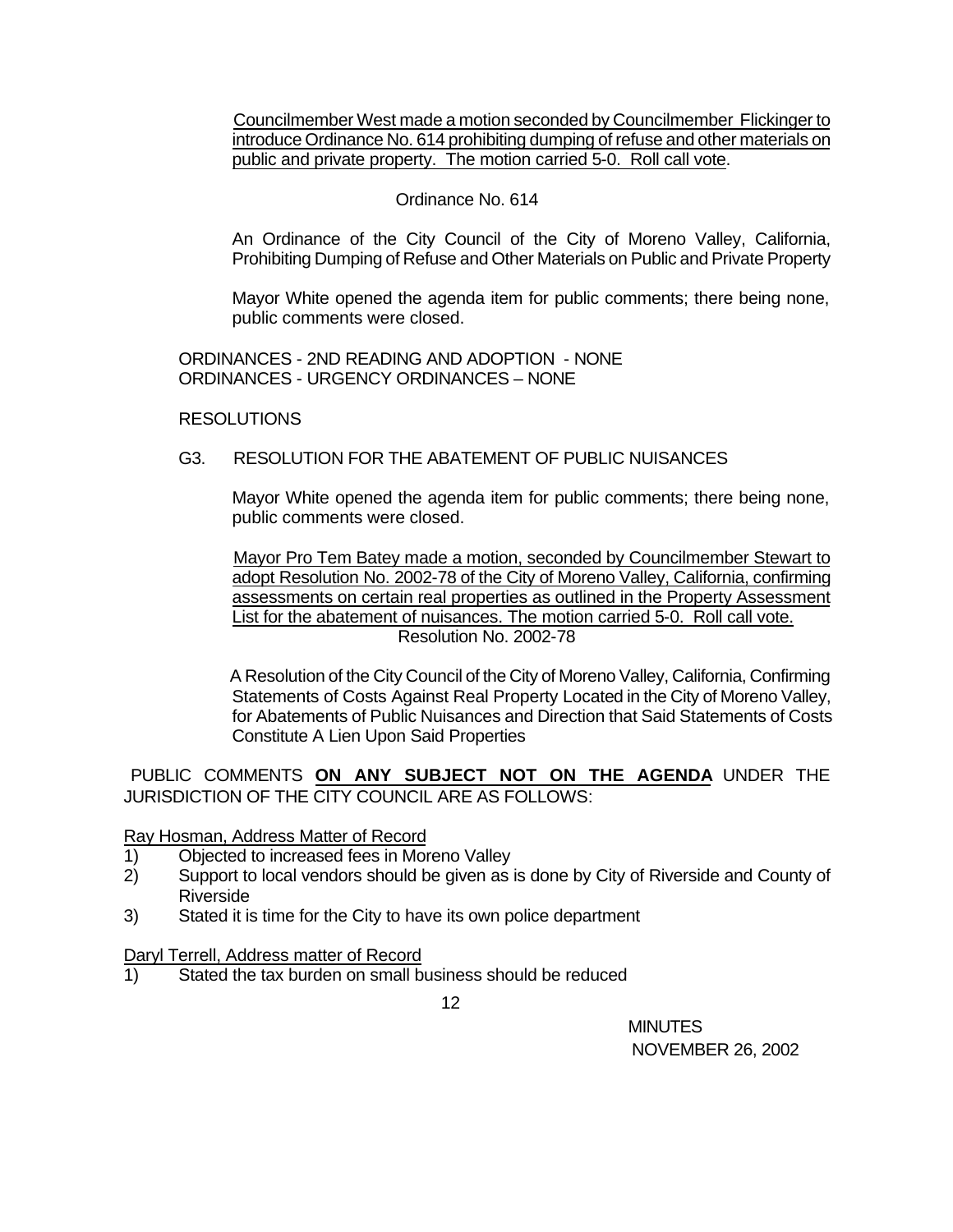Councilmember West made a motion seconded by Councilmember Flickinger to introduce Ordinance No. 614 prohibiting dumping of refuse and other materials on public and private property. The motion carried 5-0. Roll call vote.

## Ordinance No. 614

An Ordinance of the City Council of the City of Moreno Valley, California, Prohibiting Dumping of Refuse and Other Materials on Public and Private Property

Mayor White opened the agenda item for public comments; there being none, public comments were closed.

ORDINANCES - 2ND READING AND ADOPTION - NONE ORDINANCES - URGENCY ORDINANCES – NONE

#### **RESOLUTIONS**

#### G3. RESOLUTION FOR THE ABATEMENT OF PUBLIC NUISANCES

Mayor White opened the agenda item for public comments; there being none, public comments were closed.

Mayor Pro Tem Batey made a motion, seconded by Councilmember Stewart to adopt Resolution No. 2002-78 of the City of Moreno Valley, California, confirming assessments on certain real properties as outlined in the Property Assessment List for the abatement of nuisances. The motion carried 5-0. Roll call vote. Resolution No. 2002-78

 A Resolution of the City Council of the City of Moreno Valley, California, Confirming Statements of Costs Against Real Property Located in the City of Moreno Valley, for Abatements of Public Nuisances and Direction that Said Statements of Costs Constitute A Lien Upon Said Properties

PUBLIC COMMENTS **ON ANY SUBJECT NOT ON THE AGENDA** UNDER THE JURISDICTION OF THE CITY COUNCIL ARE AS FOLLOWS:

#### Ray Hosman, Address Matter of Record

- 1) Objected to increased fees in Moreno Valley
- 2) Support to local vendors should be given as is done by City of Riverside and County of Riverside
- 3) Stated it is time for the City to have its own police department

#### Daryl Terrell, Address matter of Record

1) Stated the tax burden on small business should be reduced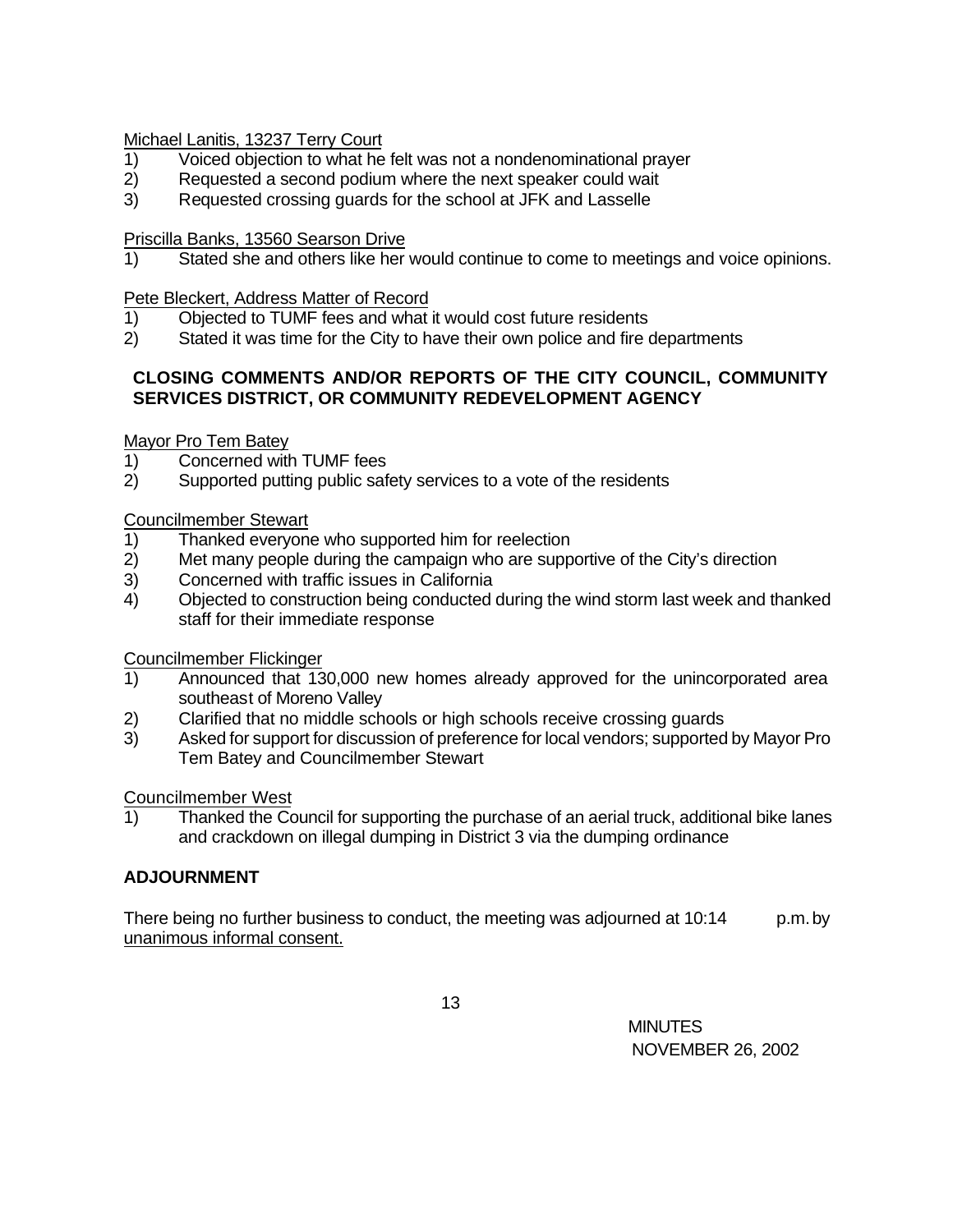# Michael Lanitis, 13237 Terry Court

- 1) Voiced objection to what he felt was not a nondenominational prayer
- 2) Requested a second podium where the next speaker could wait
- 3) Requested crossing guards for the school at JFK and Lasselle

# Priscilla Banks, 13560 Searson Drive

1) Stated she and others like her would continue to come to meetings and voice opinions.

# Pete Bleckert, Address Matter of Record

- 1) Objected to TUMF fees and what it would cost future residents
- 2) Stated it was time for the City to have their own police and fire departments

# **CLOSING COMMENTS AND/OR REPORTS OF THE CITY COUNCIL, COMMUNITY SERVICES DISTRICT, OR COMMUNITY REDEVELOPMENT AGENCY**

# Mayor Pro Tem Batey

- 1) Concerned with TUMF fees
- 2) Supported putting public safety services to a vote of the residents

# Councilmember Stewart

- 1) Thanked everyone who supported him for reelection
- 2) Met many people during the campaign who are supportive of the City's direction
- 3) Concerned with traffic issues in California
- 4) Objected to construction being conducted during the wind storm last week and thanked staff for their immediate response

Councilmember Flickinger

- 1) Announced that 130,000 new homes already approved for the unincorporated area southeast of Moreno Valley
- 2) Clarified that no middle schools or high schools receive crossing guards
- 3) Asked for support for discussion of preference for local vendors; supported by Mayor Pro Tem Batey and Councilmember Stewart

# Councilmember West

1) Thanked the Council for supporting the purchase of an aerial truck, additional bike lanes and crackdown on illegal dumping in District 3 via the dumping ordinance

# **ADJOURNMENT**

There being no further business to conduct, the meeting was adjourned at  $10:14$  p.m. by unanimous informal consent.